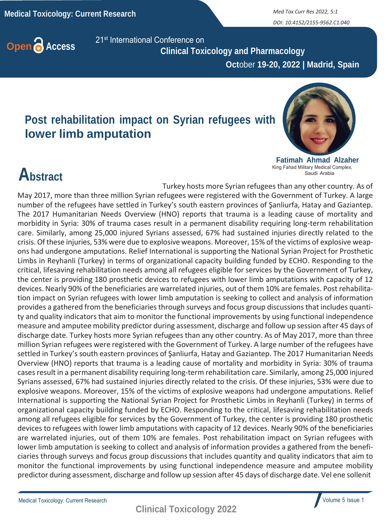*DOI: 10.4152/2155-9562.C1.040*



**Open C** Access 21<sup>st</sup> International Conference on  **Clinical Toxicology and Pharmacology**

 **Oct**ober **19-20, 2022 | Madrid, Spain**

## **Post rehabilitation impact on Syrian refugees with lower limb amputation**



**Fatimah Ahmad Alzaher** King Fahad Military Medical Complex, Saudi Arabia

## **Abstract**

Turkey hosts more Syrian refugees than any other country. As of May 2017, more than three million Syrian refugees were registered with the Government of Turkey. A large number of the refugees have settled in Turkey's south eastern provinces of Şanliurfa, Hatay and Gaziantep. The 2017 Humanitarian Needs Overview (HNO) reports that trauma is a leading cause of mortality and morbidity in Syria: 30% of trauma cases result in a permanent disability requiring long-term rehabilitation care. Similarly, among 25,000 injured Syrians assessed, 67% had sustained injuries directly related to the crisis. Of these injuries, 53% were due to explosive weapons. Moreover, 15% of the victims of explosive weapons had undergone amputations. Relief International is supporting the National Syrian Project for Prosthetic Limbs in Reyhanli (Turkey) in terms of organizational capacity building funded by ECHO. Responding to the critical, lifesaving rehabilitation needs among all refugees eligible for services by the Government of Turkey, the center is providing 180 prosthetic devices to refugees with lower limb amputations with capacity of 12 devices. Nearly 90% of the beneficiaries are warrelated injuries, out of them 10% are females. Post rehabilitation impact on Syrian refugees with lower limb amputation is seeking to collect and analysis of information provides a gathered from the beneficiaries through surveys and focus group discussions that includes quantity and quality indicators that aim to monitor the functional improvements by using functional independence measure and amputee mobility predictor during assessment, discharge and follow up session after 45 days of discharge date. Turkey hosts more Syrian refugees than any other country. As of May 2017, more than three million Syrian refugees were registered with the Government of Turkey. A large number of the refugees have settled in Turkey's south eastern provinces of Şanliurfa, Hatay and Gaziantep. The 2017 Humanitarian Needs Overview (HNO) reports that trauma is a leading cause of mortality and morbidity in Syria: 30% of trauma casesresult in a permanent disability requiring long-term rehabilitation care. Similarly, among 25,000 injured Syrians assessed, 67% had sustained injuries directly related to the crisis. Of these injuries, 53% were due to explosive weapons. Moreover, 15% of the victims of explosive weapons had undergone amputations. Relief International is supporting the National Syrian Project for Prosthetic Limbs in Reyhanli (Turkey) in terms of organizational capacity building funded by ECHO. Responding to the critical, lifesaving rehabilitation needs among all refugees eligible for services by the Government of Turkey, the center is providing 180 prosthetic devices to refugees with lower limb amputations with capacity of 12 devices. Nearly 90% of the beneficiaries are warrelated injuries, out of them 10% are females. Post rehabilitation impact on Syrian refugees with lower limb amputation is seeking to collect and analysis of information provides a gathered from the beneficiaries through surveys and focus group discussions that includes quantity and quality indicators that aim to monitor the functional improvements by using functional independence measure and amputee mobility predictor during assessment, discharge and follow up session after 45 days of discharge date. Vel ene sollenit